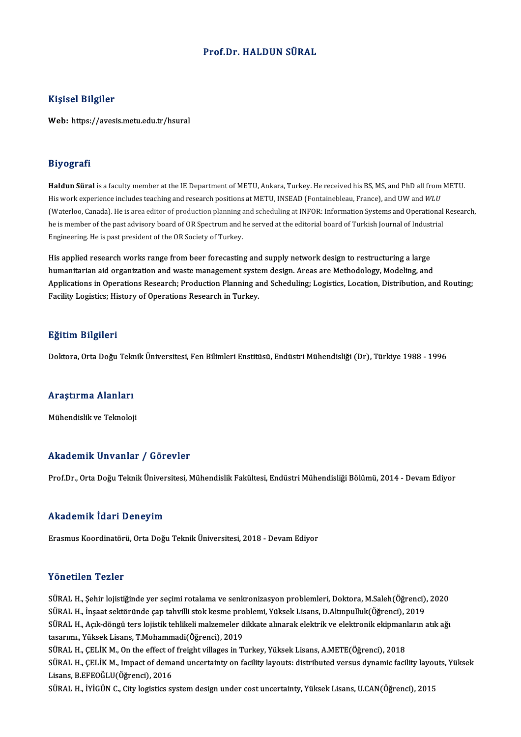#### Prof.Dr.HALDUN SÜRAL

#### Kişisel Bilgiler

Web: https://avesis.metu.edu.tr/hsural

#### Biyografi

**Haldun Süral** is a faculty member at the IE Department of METU, Ankara, Turkey. He received his BS, MS, and PhD all from METU. His work experience includesteaching and research positions at METU, INSEAD (Fontainebleau, France), and UW and *WLU* (Waterloo, Canada). He is area editor of production planning and scheduling at INFOR: Information Systems and Operational Research, he is member of the past advisory board of OR Spectrum and he served at the editorial board of Turkish Journal of Industrial Engineering. He is past president of the OR Society of Turkey.

His applied research works range from beer forecasting and supply network design to restructuring a large humanitarian aid organization and waste management system design. Areas are Methodology, Modeling, and His applied research works range from beer forecasting and supply network design to restructuring a large<br>humanitarian aid organization and waste management system design. Areas are Methodology, Modeling, and<br>Applications humanitarian aid organization and waste management syste<br>Applications in Operations Research; Production Planning a<br>Facility Logistics; History of Operations Research in Turkey. Facility Logistics; History of Operations Research in Turkey.<br>Eğitim Bilgileri

Doktora, Orta Doğu Teknik Üniversitesi, Fen Bilimleri Enstitüsü, Endüstri Mühendisliği (Dr), Türkiye 1988 - 1996

### <sub>Doktora, orta boğu текі</sub><br>Araştırma Alanları <mark>Araştırma Alanları</mark><br>Mühendislik ve Teknoloji

## Mühendislik ve Teknoloji<br>Akademik Unvanlar / Görevler

Prof.Dr., Orta Doğu Teknik Üniversitesi, Mühendislik Fakültesi, Endüstri Mühendisliği Bölümü, 2014 - Devam Ediyor

#### Akademik İdari Deneyim

Erasmus Koordinatörü, Orta Doğu Teknik Üniversitesi, 2018 - Devam Ediyor

#### Yönetilen Tezler

Yönetilen Tezler<br>SÜRAL H., Şehir lojistiğinde yer seçimi rotalama ve senkronizasyon problemleri, Doktora, M.Saleh(Öğrenci), 2020<br>SÜRAL H., İnsast sektöründe sen tabulli stek kasme nrablemi, Yüksek Lisens, D.Altınnulluk(Öğr 1 SIFSENSIN 1 SINSI<br>SÜRAL H., Şehir lojistiğinde yer seçimi rotalama ve senkronizasyon problemleri, Doktora, M.Saleh(Öğrenci),<br>SÜRAL H., İnşaat sektöründe çap tahvilli stok kesme problemi, Yüksek Lisans, D.Altınpulluk(Öğre SÜRAL H., Şehir lojistiğinde yer seçimi rotalama ve senkronizasyon problemleri, Doktora, M.Saleh(Öğrenci), 2020<br>SÜRAL H., İnşaat sektöründe çap tahvilli stok kesme problemi, Yüksek Lisans, D.Altınpulluk(Öğrenci), 2019<br>SÜRA SÜRAL H., İnşaat sektöründe çap tahvilli stok kesme problemi, Yüksek Lisans, D.Altınpulluk(Öğrenci), 2019<br>SÜRAL H., Açık-döngü ters lojistik tehlikeli malzemeler dikkate alınarak elektrik ve elektronik ekipmanların<br>tasarım SÜRAL H., Açık-döngü ters lojistik tehlikeli malzemeler dikkate alınarak elektrik ve elektronik ekipmanl<br>tasarımı., Yüksek Lisans, T.Mohammadi(Öğrenci), 2019<br>SÜRAL H., ÇELİK M., On the effect of freight villages in Turkey, SÜRAL H., ÇELİK M., Impact of demand uncertainty on facility layouts: distributed versus dynamic facility layouts, Yüksek<br>Lisans, B.EFEOĞLU(Öğrenci), 2016 SÜRAL H., ÇELİK M., On the effect of freight villages in Turkey, Yüksek Lisans, A.METE(Öğrenci), 2018 SÜRAL H., İYİGÜN C., City logistics system design under cost uncertainty, Yüksek Lisans, U.CAN(Öğrenci), 2015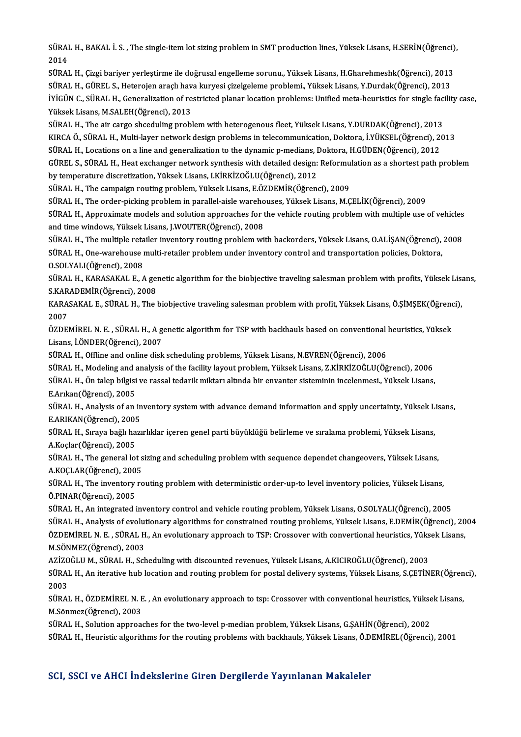SÜRAL H., BAKAL İ. S. , The single-item lot sizing problem in SMT production lines, Yüksek Lisans, H.SERİN(Öğrenci),<br>2014 SÜRAI<br>2014<br>SÜRAI SÜRAL H., BAKAL İ. S. , The single-item lot sizing problem in SMT production lines, Yüksek Lisans, H.SERİN(Öğrenci)<br>2014<br>SÜRAL H., Çizgi bariyer yerleştirme ile doğrusal engelleme sorunu., Yüksek Lisans, H.Gharehmeshk(Öğre

2014<br>SÜRAL H., Çizgi bariyer yerleştirme ile doğrusal engelleme sorunu., Yüksek Lisans, H.Gharehmeshk(Öğrenci), 2013<br>SÜRAL H., GÜREL S., Heterojen araçlı hava kuryesi çizelgeleme problemi., Yüksek Lisans, Y.Durdak(Öğrenci) SÜRAL H., Çizgi bariyer yerleştirme ile doğrusal engelleme sorunu., Yüksek Lisans, H.Gharehmeshk(Öğrenci), 2013<br>SÜRAL H., GÜREL S., Heterojen araçlı hava kuryesi çizelgeleme problemi., Yüksek Lisans, Y.Durdak(Öğrenci), 201 SÜRAL H., GÜREL S., Heterojen araçlı hav<br>İYİGÜN C., SÜRAL H., Generalization of re<br>Yüksek Lisans, M.SALEH(Öğrenci), 2013<br>SÜRAL H., The air sarse sheeduling arabl İYİGÜN C., SÜRAL H., Generalization of restricted planar location problems: Unified meta-heuristics for single fac<br>Yüksek Lisans, M.SALEH(Öğrenci), 2013<br>SÜRAL H., The air cargo shceduling problem with heterogenous fleet, Y

Yüksek Lisans, M.SALEH(Öğrenci), 2013<br>SÜRAL H., The air cargo shceduling problem with heterogenous fleet, Yüksek Lisans, Y.DURDAK(Öğrenci), 2013<br>KIRCA Ö., SÜRAL H., Multi-layer network design problems in telecommunication, SÜRAL H., The air cargo shceduling problem with heterogenous fleet, Yüksek Lisans, Y.DURDAK(Öğrenci), 2013<br>KIRCA Ö., SÜRAL H., Multi-layer network design problems in telecommunication, Doktora, İ.YÜKSEL(Öğrenci), 20<br>SÜRAL KIRCA Ö., SÜRAL H., Multi-layer network design problems in telecommunication, Doktora, İ.YÜKSEL(Öğrenci), 2013<br>SÜRAL H., Locations on a line and generalization to the dynamic p-medians, Doktora, H.GÜDEN(Öğrenci), 2012<br>GÜRE SÜRAL H., Locations on a line and generalization to the dynamic p-medians, I<br>GÜREL S., SÜRAL H., Heat exchanger network synthesis with detailed design:<br>by temperature discretization, Yüksek Lisans, I.KİRKİZOĞLU(Öğrenci), 2 GÜREL S., SÜRAL H., Heat exchanger network synthesis with detailed design: Reformu<br>by temperature discretization, Yüksek Lisans, I.KİRKİZOĞLU(Öğrenci), 2012<br>SÜRAL H., The campaign routing problem, Yüksek Lisans, E.ÖZDEMİR(

by temperature discretization, Yüksek Lisans, I.KİRKİZOĞLU(Öğrenci), 2012<br>SÜRAL H., The campaign routing problem, Yüksek Lisans, E.ÖZDEMİR(Öğrenci), 2009<br>SÜRAL H., The order-picking problem in parallel-aisle warehouses, Yü

SÜRAL H., The campaign routing problem, Yüksek Lisans, E.ÖZDEMİR(Öğrenci), 2009<br>SÜRAL H., The order-picking problem in parallel-aisle warehouses, Yüksek Lisans, M.ÇELİK(Öğrenci), 2009<br>SÜRAL H., Approximate models and solut SÜRAL H., The order-picking problem in parallel-aisle wareho<br>SÜRAL H., Approximate models and solution approaches for t<br>and time windows, Yüksek Lisans, J.WOUTER(Öğrenci), 2008<br>SÜRAL H., The multiple retailer inventory reu SÜRAL H., Approximate models and solution approaches for the vehicle routing problem with multiple use of vehicles<br>and time windows, Yüksek Lisans, J.WOUTER(Öğrenci), 2008<br>SÜRAL H., The multiple retailer inventory routing

and time windows, Yüksek Lisans, J.WOUTER(Öğrenci), 2008<br>SÜRAL H., The multiple retailer inventory routing problem with backorders, Yüksek Lisans, O.ALİŞAN(Öğrenci),<br>SÜRAL H., One-warehouse multi-retailer problem under inv SÜRAL H., The multiple reta<br>SÜRAL H., One-warehouse i<br>O.SOLYALI(Öğrenci), 2008<br>SÜRAL H. KARASAKAL E. A SÜRAL H., One-warehouse multi-retailer problem under inventory control and transportation policies, Doktora,<br>O.SOLYALI(Öğrenci), 2008<br>SÜRAL H., KARASAKAL E., A genetic algorithm for the biobjective traveling salesman probl

O.SOLYALI(Öğrenci), 2008<br>SÜRAL H., KARASAKAL E., A gel<br>S.KARADEMİR(Öğrenci), 2008<br>KARASAKAL E. SÜRAL H. The SÜRAL H., KARASAKAL E., A genetic algorithm for the biobjective traveling salesman problem with profits, Yüksek Lisa<br>S.KARADEMİR(Öğrenci), 2008<br>KARASAKAL E., SÜRAL H., The biobjective traveling salesman problem with profit

S.KARADEMİR(Öğrenci), 2008<br>KARASAKAL E., SÜRAL H., The biobjective traveling salesman problem with profit, Yüksek Lisans, Ö.ŞİMŞEK(Öğrenci),<br>2007 KARASAKAL E., SÜRAL H., The biobjective traveling salesman problem with profit, Yüksek Lisans, Ö.ŞİMŞEK(Öğrend<br>2007<br>ÖZDEMİREL N. E. , SÜRAL H., A genetic algorithm for TSP with backhauls based on conventional heuristics, Y

2007<br>ÖZDEMİREL N. E. , SÜRAL H., A g<br>Lisans, İ.ÖNDER(Öğrenci), 2007<br>SÜRAL H. Offline and enline diek ÖZDEMİREL N. E. , SÜRAL H., A genetic algorithm for TSP with backhauls based on conventional is<br>Lisans, İ.ÖNDER(Öğrenci), 2007<br>SÜRAL H., Offline and online disk scheduling problems, Yüksek Lisans, N.EVREN(Öğrenci), 2006<br>SÜ Lisans, İ.ÖNDER(Öğrenci), 2007<br>SÜRAL H., Offline and online disk scheduling problems, Yüksek Lisans, N.EVREN(Öğrenci), 2006<br>SÜRAL H., Modeling and analysis of the facility layout problem, Yüksek Lisans, Z.KİRKİZOĞLU(Öğrenc

SÜRAL H., Offline and online disk scheduling problems, Yüksek Lisans, N.EVREN(Öğrenci), 2006<br>SÜRAL H., Modeling and analysis of the facility layout problem, Yüksek Lisans, Z.KİRKİZOĞLU(Öğrenci), 2006<br>SÜRAL H., Ön talep bil SÜRAL H., Modeling and a<br>SÜRAL H., Ön talep bilgisi<br>E.Arıkan(Öğrenci), 2005<br>SÜRAL H., Analysis of an SÜRAL H., Ön talep bilgisi ve rassal tedarik miktarı altında bir envanter sisteminin incelenmesi., Yüksek Lisans,<br>E.Arıkan(Öğrenci), 2005<br>SÜRAL H., Analysis of an inventory system with advance demand information and spply

E.Arıkan(Öğrenci), 2005<br>SÜRAL H., Analysis of an in<br>E.ARIKAN(Öğrenci), 2005<br>SÜRAL H. Sınava bağlı barı SÜRAL H., Analysis of an inventory system with advance demand information and spply uncertainty, Yüksek L.<br>E.ARIKAN(Öğrenci), 2005<br>SÜRAL H., Sıraya bağlı hazırlıklar içeren genel parti büyüklüğü belirleme ve sıralama probl

E.ARIKAN(Öğrenci), 2005<br>SÜRAL H., Sıraya bağlı hazırlıklar içeren genel parti büyüklüğü belirleme ve sıralama problemi, Yüksek Lisans,<br>A.Koçlar(Öğrenci), 2005 SÜRAL H., Sıraya bağlı hazırlıklar içeren genel parti büyüklüğü belirleme ve sıralama problemi, Yüksek Lisans,<br>A.Koçlar(Öğrenci), 2005<br>SÜRAL H., The general lot sizing and scheduling problem with sequence dependet changeov

A.Koçlar(Öğrenci), 2005<br>SÜRAL H., The general lot s<br>A.KOÇLAR(Öğrenci), 2005<br>SÜRAL H. The inventery re SÜRAL H., The general lot sizing and scheduling problem with sequence dependet changeovers, Yüksek Lisans,<br>A.KOÇLAR(Öğrenci), 2005<br>SÜRAL H., The inventory routing problem with deterministic order-up-to level inventory poli

A.KOÇLAR(Öğrenci), 200<br>SÜRAL H., The inventory<br>Ö.PINAR(Öğrenci), 2005<br>SÜRAL H. An integrated i Ö.PINAR(Öğrenci), 2005<br>SÜRAL H., An integrated inventory control and vehicle routing problem, Yüksek Lisans, O.SOLYALI(Öğrenci), 2005

Ö.PINAR(Öğrenci), 2005<br>SÜRAL H., An integrated inventory control and vehicle routing problem, Yüksek Lisans, O.SOLYALI(Öğrenci), 2005<br>SÜRAL H., Analysis of evolutionary algorithms for constrained routing problems, Yüksek L SÜRAL H., An integrated inventory control and vehicle routing problem, Yüksek Lisans, O.SOLYALI(Öğrenci), 2005<br>SÜRAL H., Analysis of evolutionary algorithms for constrained routing problems, Yüksek Lisans, E.DEMİR(Öğrenci) SÜRAL H., Analysis of evolut<br>ÖZDEMİREL N. E. , SÜRAL H<br>M.SÖNMEZ(Öğrenci), 2003<br>AZİZOČLU M. SÜRAL H. Sch ÖZDEMİREL N. E. , SÜRAL H., An evolutionary approach to TSP: Crossover with convertional heuristics, Yüks<br>M.SÖNMEZ(Öğrenci), 2003<br>AZİZOĞLU M., SÜRAL H., Scheduling with discounted revenues, Yüksek Lisans, A.KICIROĞLU(Öğren

M.SÖNMEZ(Öğrenci), 2003<br>AZİZOĞLU M., SÜRAL H., Scheduling with discounted revenues, Yüksek Lisans, A.KICIROĞLU(Öğrenci), 2003<br>SÜRAL H., An iterative hub location and routing problem for postal delivery systems, Yüksek Lisa AZİZO<br>SÜRAI<br>2003<br>SÜRAI SÜRAL H., An iterative hub location and routing problem for postal delivery systems, Yüksek Lisans, S.ÇETİNER(Öğren<br>2003<br>SÜRAL H., ÖZDEMİREL N. E. , An evolutionary approach to tsp: Crossover with conventional heuristics,

2003<br>SÜRAL H., ÖZDEMİREL N. E<br>M.Sönmez(Öğrenci), 2003<br>SÜRAL H. Solution annroq SÜRAL H., ÖZDEMİREL N. E. , An evolutionary approach to tsp: Crossover with conventional heuristics, Yükse<br>M.Sönmez(Öğrenci), 2003<br>SÜRAL H., Solution approaches for the two-level p-median problem, Yüksek Lisans, G.ŞAHİN(Öğ

M.Sönmez(Öğrenci), 2003<br>SÜRAL H., Solution approaches for the two-level p-median problem, Yüksek Lisans, G.ŞAHİN(Öğrenci), 2002<br>SÜRAL H., Heuristic algorithms for the routing problems with backhauls, Yüksek Lisans, Ö.DEMİR

#### SCI, SSCI ve AHCI İndekslerine Giren Dergilerde Yayınlanan Makaleler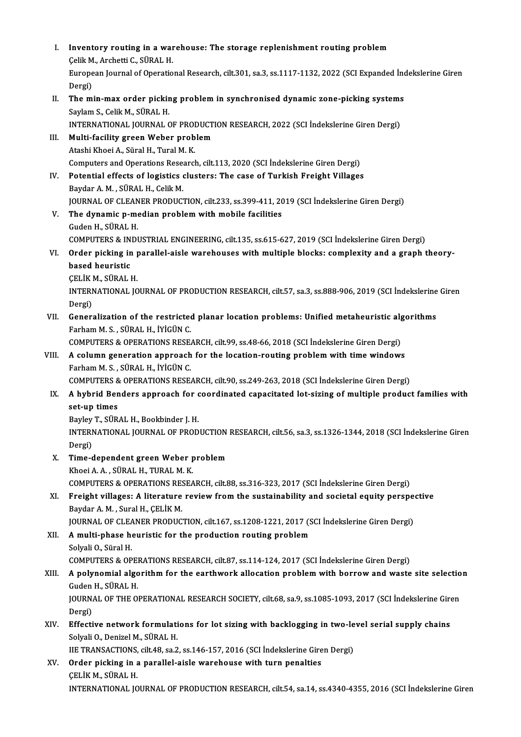I. Inventory routing in a warehouse: The storage replenishment routing problem Inventory routing in a war<br>Çelik M., Archetti C., SÜRAL H.<br>European Journal of Operatio European Journal of Operational Research, cilt.301, sa.3, ss.1117-1132, 2022 (SCI Expanded İndekslerine Giren<br>Dergi) Celik M<br>Europe<br>Dergi)<br>The m European Journal of Operational Research, cilt.301, sa.3, ss.1117-1132, 2022 (SCI Expanded Inc<br>Dergi)<br>II. The min-max order picking problem in synchronised dynamic zone-picking systems<br>Saylam S. Colik M. SilPAL H Dergi)<br><mark>The min-max order pickir</mark><br>Saylam S., Celik M., SÜRAL H.<br>INTERNATIONAL JOURNAL G The min-max order picking problem in synchronised dynamic zone-picking systems<br>Saylam S., Celik M., SÜRAL H.<br>INTERNATIONAL JOURNAL OF PRODUCTION RESEARCH, 2022 (SCI İndekslerine Giren Dergi)<br>Multi fasility graen Weber prob Saylam S., Celik M., SÜRAL H.<br>INTERNATIONAL JOURNAL OF PRODUCT<br>III. Multi-facility green Weber problem<br>Atashi Khoei A., Süral H., Tural M. K. INTERNATIONAL JOURNAL OF PRODUCTION RESEARCH, 2022 (SCI İndekslerine Giren Dergi) Computers and Operations Research, cilt.113, 2020 (SCI İndekslerine Giren Dergi) Atashi Khoei A., Süral H., Tural M. K.<br>Computers and Operations Research, cilt.113, 2020 (SCI İndekslerine Giren Dergi)<br>IV. Potential effects of logistics clusters: The case of Turkish Freight Villages<br>Paydar A. M. SÜRAL H Computers and Operations Reser<br>**Potential effects of logistics (Saydar A. M. , SÜRAL H., Celik M.**<br>JOUPNAL OF CLEANER RRODUCT Potential effects of logistics clusters: The case of Turkish Freight Villages<br>Baydar A. M. , SÜRAL H., Celik M.<br>JOURNAL OF CLEANER PRODUCTION, cilt.233, ss.399-411, 2019 (SCI İndekslerine Giren Dergi)<br>The dunamia n modian Baydar A. M. , SÜRAL H., Celik M.<br>JOURNAL OF CLEANER PRODUCTION, cilt.233, ss.399-411, 20<br>V. The dynamic p-median problem with mobile facilities<br>Cuden H. SÜRAL H. **JOURNAL OF CLEAN<br>The dynamic p-me<br>Guden H., SÜRAL H.<br>COMBUTERS & INDI** Guden H., SÜRAL H.<br>COMPUTERS & INDUSTRIAL ENGINEERING, cilt.135, ss.615-627, 2019 (SCI İndekslerine Giren Dergi) Guden H., SÜRAL H.<br>COMPUTERS & INDUSTRIAL ENGINEERING, cilt.135, ss.615-627, 2019 (SCI İndekslerine Giren Dergi)<br>VI. Order picking in parallel-aisle warehouses with multiple blocks: complexity and a graph theory-<br>hased **COMPUTERS & IN<br>Order picking in<br>based heuristic<br>CELIV M. SÜRAL I** Order picking in p<br>based heuristic<br>ÇELİK M., SÜRAL H.<br>INTERNATIONAL JO based heuristic<br>ÇELİK M., SÜRAL H.<br>INTERNATIONAL JOURNAL OF PRODUCTION RESEARCH, cilt.57, sa.3, ss.888-906, 2019 (SCI İndekslerine Giren CELIK<br>INTERI<br>Dergi)<br>Ceneri INTERNATIONAL JOURNAL OF PRODUCTION RESEARCH, cilt.57, sa.3, ss.888-906, 2019 (SCI Indekslerine<br>Dergi)<br>VII. Generalization of the restricted planar location problems: Unified metaheuristic algorithms<br>Earham M.S. SÜRAL H. I Dergi)<br>VII. Generalization of the restricted planar location problems: Unified metaheuristic algorithms<br>Farham M. S. , SÜRAL H., İYİGÜN C. Generalization of the restricted planar location problems: Unified metaheuristic alg<br>Farham M. S., SÜRAL H., İYİGÜN C.<br>COMPUTERS & OPERATIONS RESEARCH, cilt.99, ss.48-66, 2018 (SCI İndekslerine Giren Dergi)<br>A salumn sanara VIII. A column generation approach for the location-routing problem with time windows<br>Farham M. S., SÜRAL H., İYİGÜN C. COMPUTERS & OPERATIONS RESE<br>A column generation approach<br>Farham M. S. , SÜRAL H., İYİGÜN C.<br>COMPUTERS & OPERATIONS RESE. A column generation approach for the location-routing problem with time windows<br>Farham M. S., SÜRAL H., İYİGÜN C.<br>COMPUTERS & OPERATIONS RESEARCH, cilt.90, ss.249-263, 2018 (SCI İndekslerine Giren Dergi)<br>A hybrid Bandars a IX. A hybrid Benders approach for coordinated capacitated lot-sizing of multiple product families with set-up times COMPUTERS &<br>**A hybrid Ber**<br>set-up times<br>Perley T si<sup>ip</sup> A hybrid Benders approach for c<br>set-up times<br>Bayley T., SÜRAL H., Bookbinder J. H.<br>INTERNATIONAL JOURNAL OF PROD INTERNATIONAL JOURNAL OF PRODUCTION RESEARCH, cilt.56, sa.3, ss.1326-1344, 2018 (SCI İndekslerine Giren<br>Dergi) Bayley<br>INTERI<br>Dergi)<br>Time INTERNATIONAL JOURNAL OF PRODUCTION<br>Dergi)<br>X. Time-dependent green Weber problem Dergi)<br>Time-dependent green Weber <sub>I</sub><br>Khoei A. A. , SÜRAL H., TURAL M. K.<br>COMPUTERS & OPERATIONS RESEA Time-dependent green Weber problem<br>Khoei A. A. , SÜRAL H., TURAL M. K.<br>COMPUTERS & OPERATIONS RESEARCH, cilt.88, ss.316-323, 2017 (SCI İndekslerine Giren Dergi)<br>Ensisht villages: A literature review from the sustainebility Khoei A. A. , SÜRAL H., TURAL M. K.<br>COMPUTERS & OPERATIONS RESEARCH, cilt.88, ss.316-323, 2017 (SCI Indekslerine Giren Dergi)<br>XI. Freight villages: A literature review from the sustainability and societal equity perspectiv COMPUTERS & OPERATIONS RES<br>Freight villages: A literature<br>Baydar A. M. , Sural H., ÇELİK M.<br>JOUPNAL OF CLEANER RRODUC Freight villages: A literature review from the sustainability and societal equity persper<br>Baydar A. M. , Sural H., ÇELİK M.<br>JOURNAL OF CLEANER PRODUCTION, cilt.167, ss.1208-1221, 2017 (SCI İndekslerine Giren Dergi)<br>A multi Baydar A. M. , Sural H., ÇELİK M.<br>JOURNAL OF CLEANER PRODUCTION, cilt.167, ss.1208-1221, 2017 (S.<br>XII. A multi-phase heuristic for the production routing problem<br>Solvali O. Süral H. **JOURNAL OF CLEA**<br>**A multi-phase h<br>Solyali O., Süral H.<br>COMBUTERS & OR** XII. A multi-phase heuristic for the production routing problem<br>Solyali O., Süral H.<br>COMPUTERS & OPERATIONS RESEARCH, cilt.87, ss.114-124, 2017 (SCI İndekslerine Giren Dergi) Solyali O., Süral H.<br>COMPUTERS & OPERATIONS RESEARCH, cilt.87, ss.114-124, 2017 (SCI İndekslerine Giren Dergi)<br>XIII. A polynomial algorithm for the earthwork allocation problem with borrow and waste site selection<br>Cudo COMPUTERS & OPEN<br>A polynomial algo<br>Guden H., SÜRAL H.<br>JOUPNAL OF THE O A polynomial algorithm for the earthwork allocation problem with borrow and waste site selectio<br>Guden H., SÜRAL H.<br>JOURNAL OF THE OPERATIONAL RESEARCH SOCIETY, cilt.68, sa.9, ss.1085-1093, 2017 (SCI İndekslerine Giren<br>Pers Guden<br>JOURN<br>Dergi)<br>Effecti JOURNAL OF THE OPERATIONAL RESEARCH SOCIETY, cilt.68, sa.9, ss.1085-1093, 2017 (SCI Indekslerine Gire<br>Dergi)<br>XIV. Effective network formulations for lot sizing with backlogging in two-level serial supply chains<br>Solvali O. Dergi)<br>Effective network formulati<br>Solyali O., Denizel M., SÜRAL H. XIV. Effective network formulations for lot sizing with backlogging in two-level serial supply chains<br>Solyali O., Denizel M., SÜRAL H.<br>IIE TRANSACTIONS, cilt.48, sa.2, ss.146-157, 2016 (SCI İndekslerine Giren Dergi)<br>XV. Or Solyali O., Denizel M., SÜRAL H.<br>IIE TRANSACTIONS, cilt.48, sa.2, ss.146-157, 2016 (SCI İndekslerine Gire<br>XV. Order picking in a parallel-aisle warehouse with turn penalties<br>CELIV M. SÜRAL H **HE TRANSACTIONS,<br>Order picking in a**<br>ÇELİK M., SÜRAL H.<br>INTERNATIONAL JO ÇELİK M., SÜRAL H.<br>INTERNATIONAL JOURNAL OF PRODUCTION RESEARCH, cilt.54, sa.14, ss.4340-4355, 2016 (SCI İndekslerine Giren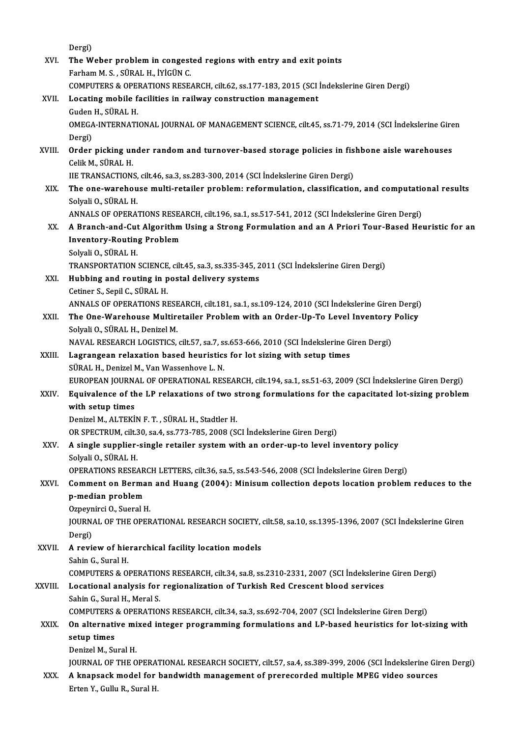Dergi)

Dergi)<br>XVI. The Weber problem in congested regions with entry and exit points<br>Ferham M. S. SilBAL H. IVICUN C Dergi)<br><mark>The Weber problem in congest</mark><br>Farham M. S. , SÜRAL H., İYİGÜN C.<br>COMBUTERS & OPERATIONS RESE. The Weber problem in congested regions with entry and exit points<br>Farham M. S. , SÜRAL H., İYİGÜN C.<br>COMPUTERS & OPERATIONS RESEARCH, cilt.62, ss.177-183, 2015 (SCI İndekslerine Giren Dergi)<br>Locating mobile facilities in n Farham M. S., SÜRAL H., İYİGÜN C.<br>COMPUTERS & OPERATIONS RESEARCH, cilt.62, ss.177-183, 2015 (SCI .<br>XVII. Locating mobile facilities in railway construction management<br>Guden H.. SÜRAL H. COMPUTERS & OPEN<br>Locating mobile f<br>Guden H., SÜRAL H.<br>OMECA INTERNATI Locating mobile facilities in railway construction management<br>Guden H., SÜRAL H.<br>OMEGA-INTERNATIONAL JOURNAL OF MANAGEMENT SCIENCE, cilt.45, ss.71-79, 2014 (SCI İndekslerine Giren<br>Dergi) Guden<br>OMEGA<br>Dergi)<br>Order OMEGA-INTERNATIONAL JOURNAL OF MANAGEMENT SCIENCE, cilt.45, ss.71-79, 2014 (SCI İndekslerine Gire<br>Dergi)<br>XVIII. Order picking under random and turnover-based storage policies in fishbone aisle warehouses<br>Colik M. SÜRAL H Dergi)<br><mark>Order picking ur</mark><br>Celik M., SÜRAL H.<br>UE TRANSACTION Order picking under random and turnover-based storage policies in fis<br>Celik M., SÜRAL H.<br>IIE TRANSACTIONS, cilt.46, sa.3, ss.283-300, 2014 (SCI İndekslerine Giren Dergi)<br>The ene werebouse multi-retailer problem: reformulat Celik M., SÜRAL H.<br>IIE TRANSACTIONS, cilt.46, sa.3, ss.283-300, 2014 (SCI İndekslerine Giren Dergi)<br>XIX. The one-warehouse multi-retailer problem: reformulation, classification, and computational results<br>Solyali O., SÜ IIE TRANSACTIONS, cilt46, sa.3, ss.283-300, 2014 (SCI Indekslerine Giren Dergi) The one-warehouse multi-retailer problem: reformulation, classification, and computation<br>Solyali O., SÜRAL H.<br>ANNALS OF OPERATIONS RESEARCH, cilt.196, sa.1, ss.517-541, 2012 (SCI İndekslerine Giren Dergi)<br>A Pranch and Cut Solyali O., SÜRAL H.<br>ANNALS OF OPERATIONS RESEARCH, cilt.196, sa.1, ss.517-541, 2012 (SCI İndekslerine Giren Dergi)<br>XX. A Branch-and-Cut Algorithm Using a Strong Formulation and an A Priori Tour-Based Heuristic for an<br> ANNALS OF OPERATIONS RESEA<br>A Branch-and-Cut Algorithm<br>Inventory-Routing Problem<br>Selveli O SÜRAL H A Branch-and-Cut<br>Inventory-Routin<br>Solyali O., SÜRAL H.<br>TRANSRORTATION Inventory-Routing Problem<br>Solyali O., SÜRAL H.<br>TRANSPORTATION SCIENCE, cilt.45, sa.3, ss.335-345, 2011 (SCI İndekslerine Giren Dergi) Solyali O., SÜRAL H.<br>TRANSPORTATION SCIENCE, cilt.45, sa.3, ss.335-345, 2<br>XXI. Hubbing and routing in postal delivery systems TRANSPORTATION SCIENCE<br>Hubbing and routing in p<br>Cetiner S., Sepil C., SÜRAL H.<br>ANNALS OF OPERATIONS PL Hubbing and routing in postal delivery systems<br>Cetiner S., Sepil C., SÜRAL H.<br>ANNALS OF OPERATIONS RESEARCH, cilt.181, sa.1, ss.109-124, 2010 (SCI İndekslerine Giren Dergi)<br>The One Warebouse Multiratailer Broblem with an O Cetiner S., Sepil C., SÜRAL H.<br>ANNALS OF OPERATIONS RESEARCH, cilt.181, sa.1, ss.109-124, 2010 (SCI İndekslerine Giren Dergi)<br>XXII. The One-Warehouse Multiretailer Problem with an Order-Up-To Level Inventory Policy<br>Sel ANNALS OF OPERATIONS RESE<br>The One-Warehouse Multire<br>Solyali O., SÜRAL H., Denizel M.<br>NAVAL RESEARCH LOCISTICS The One-Warehouse Multiretailer Problem with an Order-Up-To Level Inventory<br>Solyali O., SÜRAL H., Denizel M.<br>NAVAL RESEARCH LOGISTICS, cilt.57, sa.7, ss.653-666, 2010 (SCI İndekslerine Giren Dergi)<br>Lagrangean relaxation ba Solyali O., SÜRAL H., Denizel M.<br>NAVAL RESEARCH LOGISTICS, cilt.57, sa.7, ss.653-666, 2010 (SCI İndekslerine G<br>XXIII. Lagrangean relaxation based heuristics for lot sizing with setup times<br>SÜRAL H., Denizel M., Van Was NAVAL RESEARCH LOGISTICS, cilt.57, sa.7, s.<br>Lagrangean relaxation based heuristics<br>SÜRAL H., Denizel M., Van Wassenhove L. N.<br>FUROPEAN JOURNAL OF OPERATIONAL PES Lagrangean relaxation based heuristics for lot sizing with setup times<br>SÜRAL H., Denizel M., Van Wassenhove L. N.<br>EUROPEAN JOURNAL OF OPERATIONAL RESEARCH, cilt.194, sa.1, ss.51-63, 2009 (SCI İndekslerine Giren Dergi)<br>Fauj SÜRAL H., Denizel M., Van Wassenhove L. N.<br>EUROPEAN JOURNAL OF OPERATIONAL RESEARCH, cilt.194, sa.1, ss.51-63, 2009 (SCI İndekslerine Giren Dergi)<br>XXIV. Equivalence of the LP relaxations of two strong formulations for EUROPEAN JOURNA<br>Equivalence of the<br>with setup times<br>Donizel M, ALTEKI Equivalence of the LP relaxations of two s<br>with setup times<br>Denizel M., ALTEKİN F.T., SÜRAL H., Stadtler H.<br>OR SPECTRUM silt 20, 88 4, 85,772,795, 2009 (St with setup times<br>Denizel M., ALTEKİN F. T. , SÜRAL H., Stadtler H.<br>OR SPECTRUM, cilt.30, sa.4, ss.773-785, 2008 (SCI İndekslerine Giren Dergi) Denizel M., ALTEKİN F. T. , SÜRAL H., Stadtler H.<br>OR SPECTRUM, cilt.30, sa.4, ss.773-785, 2008 (SCI İndekslerine Giren Dergi)<br>XXV. A single supplier-single retailer system with an order-up-to level inventory policy<br>Solvali OR SPECTRUM, cilt.3<br>A single supplier-<br>Solyali O., SÜRAL H.<br>OPERATIONS PESE A single supplier-single retailer system with an order-up-to level inventory policy<br>Solyali O., SÜRAL H.<br>OPERATIONS RESEARCH LETTERS, cilt.36, sa.5, ss.543-546, 2008 (SCI İndekslerine Giren Dergi)<br>Comment on Berman and Hua Solyali O., SÜRAL H.<br>OPERATIONS RESEARCH LETTERS, cilt.36, sa.5, ss.543-546, 2008 (SCI İndekslerine Giren Dergi)<br>XXVI. Comment on Berman and Huang (2004): Minisum collection depots location problem reduces to the<br>n med **OPERATIONS RESEAR**<br>**Comment on Berma**<br>**p-median problem Comment on Berman<br>p-median problem<br>Ozpeynirci O., Sueral H.<br>JOUPMAL OF THE OPEP** p-median problem<br>Ozpeynirci O., Sueral H.<br>JOURNAL OF THE OPERATIONAL RESEARCH SOCIETY, cilt.58, sa.10, ss.1395-1396, 2007 (SCI İndekslerine Giren<br>Persi) Ozpeyn<br>JOURN<br>Dergi)<br>A.royi JOURNAL OF THE OPERATIONAL RESEARCH SOCIETY,<br>Dergi)<br>XXVII. A review of hierarchical facility location models<br>Sabin C. Sural H Dergi)<br>XXVII. – A review of hierarchical facility location models<br>Sahin G., Sural H. A review of hierarchical facility location models<br>Sahin G., Sural H.<br>COMPUTERS & OPERATIONS RESEARCH, cilt.34, sa.8, ss.2310-2331, 2007 (SCI İndekslerine Giren Dergi)<br>Locational analysis for regionalization of Turkish Bod XXVIII. Locational analysis for regionalization of Turkish Red Crescent blood services<br>Sahin G., Sural H., Meral S. COMPUTERS & OPERATIO<br>Locational analysis for<br>Sahin G., Sural H., Meral S.<br>COMBUTERS & OBERATIO Locational analysis for regionalization of Turkish Red Crescent blood services<br>Sahin G., Sural H., Meral S.<br>COMPUTERS & OPERATIONS RESEARCH, cilt.34, sa.3, ss.692-704, 2007 (SCI İndekslerine Giren Dergi)<br>On elternative mix Sahin G., Sural H., Meral S.<br>COMPUTERS & OPERATIONS RESEARCH, cilt.34, sa.3, ss.692-704, 2007 (SCI İndekslerine Giren Dergi)<br>XXIX. On alternative mixed integer programming formulations and LP-based heuristics for lot-sizin COMPUTERS<br>On alternati<br>setup times<br>Denizel M. Su **On alternative mi<br>setup times<br>Denizel M., Sural H.<br>JOUPNAL OF THE O** setup times<br>Denizel M., Sural H.<br>JOURNAL OF THE OPERATIONAL RESEARCH SOCIETY, cilt.57, sa.4, ss.389-399, 2006 (SCI İndekslerine Giren Dergi) Denizel M., Sural H.<br>JOURNAL OF THE OPERATIONAL RESEARCH SOCIETY, cilt.57, sa.4, ss.389-399, 2006 (SCI İndekslerine Gir<br>XXX. A knapsack model for bandwidth management of prerecorded multiple MPEG video sources JOURNAL OF THE OPERA<br><mark>A knapsack model for</mark><br>Erten Y., Gullu R., Sural H.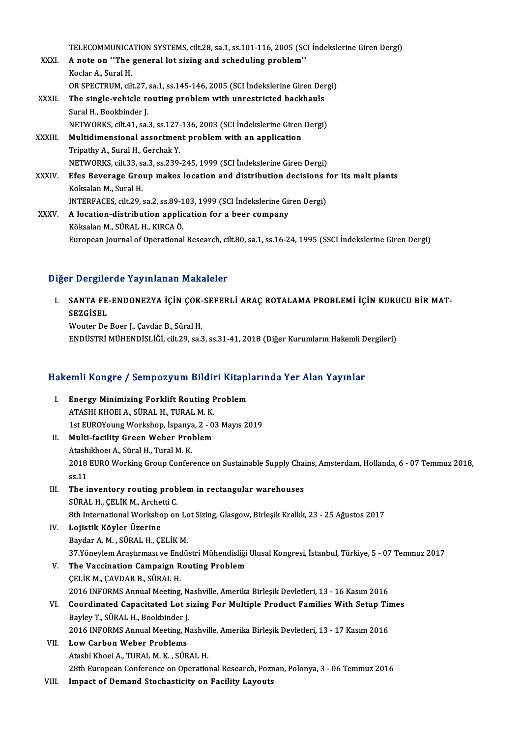TELECOMMUNICATION SYSTEMS, cilt.28, sa.1, ss.101-116, 2005 (SCI İndekslerine Giren Dergi)<br>A nota an ''The general let siring and sebeduling prablem''

TELECOMMUNICATION SYSTEMS, cilt.28, sa.1, ss.101-116, 2005 (SONALL A note on "The general lot sizing and scheduling problem" TELECOMMUNICA<br>**A** note on "The<br>Koclar A., Sural H.<br>OP SPECTPUM ci<sup>l</sup> A note on "The general lot sizing and scheduling problem"<br>Koclar A., Sural H.<br>OR SPECTRUM, cilt.27, sa.1, ss.145-146, 2005 (SCI İndekslerine Giren Dergi)<br>The single vehicle neuting problem with unpertristed heskbayle. Koclar A., Sural H.<br>OR SPECTRUM, cilt.27, sa.1, ss.145-146, 2005 (SCI Indekslerine Giren Der<br>XXXII. The single-vehicle routing problem with unrestricted backhauls<br>Sural H., Bookbinder J. OR SPECTRUM, cilt.27,<br>The single-vehicle re<br>Sural H., Bookbinder J.<br>NETWORKS cilt 41, co. The single-vehicle routing problem with unrestricted backhauls<br>Sural H., Bookbinder J.<br>NETWORKS, cilt.41, sa.3, ss.127-136, 2003 (SCI İndekslerine Giren Dergi)<br>Multidimensional assortment problem with an application Sural H., Bookbinder J.<br>NETWORKS, cilt41, sa.3, ss.127-136, 2003 (SCI İndekslerine Giren<br>XXXIII. Multidimensional assortment problem with an application<br>Trinathy A. Sural H. Carabak Y. **NETWORKS, cilt41, sa.3, ss.127-<br>Multidimensional assortmen<br>Tripathy A., Sural H., Gerchak Y.**<br>NETWORKS, silt 22, sa.2, ss.229. Multidimensional assortment problem with an application<br>Tripathy A., Sural H., Gerchak Y.<br>NETWORKS, cilt.33, sa.3, ss.239-245, 1999 (SCI İndekslerine Giren Dergi)<br>Ffes Beyerage Croup makes legation and distribution desisio Tripathy A., Sural H., Gerchak Y.<br>NETWORKS, cilt.33, sa.3, ss.239-245, 1999 (SCI İndekslerine Giren Dergi)<br>XXXIV. Efes Beverage Group makes location and distribution decisions for its malt plants NETWORKS, cilt.33, sa<br>Efes Beverage Gro<br>Koksalan M., Sural H.<br>INTEREACES, cilt.20 Efes Beverage Group makes location and distribution decisions f<br>Koksalan M., Sural H.<br>INTERFACES, cilt.29, sa.2, ss.89-103, 1999 (SCI İndekslerine Giren Dergi)<br>A legation distribution annlisation for a beer semnany Koksalan M., Sural H.<br>INTERFACES, cilt.29, sa.2, ss.89-103, 1999 (SCI İndekslerine Giren Dergi)<br>XXXV. A location-distribution application for a beer company Köksalan M., SÜRAL H., KIRCAÖ. European Journal of Operational Research, cilt.80, sa.1, ss.16-24, 1995 (SSCI İndekslerine Giren Dergi)

#### Diğer Dergilerde Yayınlanan Makaleler

Iğer Dergilerde Yayınlanan Makaleler<br>I. SANTA FE-ENDONEZYA İÇİN ÇOK-SEFERLİ ARAÇ ROTALAMA PROBLEMİ İÇİN KURUCU BİR MAT-SEZGERI SANTA FE<br>SANTA FE<br>SEZGİSEL SANTA FE-ENDONEZYA İÇİN ÇOK-<br>SEZGİSEL<br>Wouter De Boer J., Çavdar B., Süral H.<br>ENDÜSTRİ MÜHENDİSI İĞİ. 611-29, 92.

SEZGİSEL<br>Wouter De Boer J., Çavdar B., Süral H.<br>ENDÜSTRİ MÜHENDİSLİĞİ, cilt.29, sa.3, ss.31-41, 2018 (Diğer Kurumların Hakemli Dergileri)

# ENDUSTRI MUHENDISLIGI, CILL29, SA.3, SS.31-41, 2018 (Diger Kurumların Hakemli D<br>Hakemli Kongre / Sempozyum Bildiri Kitaplarında Yer Alan Yayınlar

- akemli Kongre / Sempozyum Bildiri Kitapl<br>I. Energy Minimizing Forklift Routing Problem<br>ATASHI KHOELA SÜRALH TURALM K I. Energy Minimizing Forklift Routing Problem<br>ATASHI KHOEI A., SÜRAL H., TURAL M. K. Energy Minimizing Forklift Routing Problem<br>ATASHI KHOEI A., SÜRAL H., TURAL M. K.<br>1st EUROYoung Workshop, İspanya, 2 - 03 Mayıs 2019<br>Multi fasility Creen Weber Preblem 1st EUROYoung Workshop, İspanya<br>Multi-facility Green Weber Pro<br>Atashıkhoeı A., Süral H., Tural M. K.<br>2018 EUPO Working Creup Corfor
- II. Multi-facility Green Weber Problem<br>Atashikhoei A., Süral H., Tural M. K. Multi-facility Green Weber Problem<br>Atashıkhoeı A., Süral H., Tural M. K.<br>2018 EURO Working Group Conference on Sustainable Supply Chains, Amsterdam, Hollanda, 6 - 07 Temmuz 2018,<br>2011 Atash<br>2018<br>ss.11<br>The i 2018 EURO Working Group Conference on Sustainable Supply Chass.<br>11<br>III. The inventory routing problem in rectangular warehouses<br>5 SUPAL H. CELIK M. Archatti C.
- ss.11<br>III. The inventory routing problem in rectangular warehouses<br>SÜRAL H., ÇELİK M., Archetti C. 8th International Workshop on Lot Sizing, Glasgow, Birleşik Krallık, 23 - 25 Ağustos 2017
- IV. Lojistik Köyler Üzerine Baydar A.M., SÜRAL H., ÇELİKM. Lojistik Köyler Üzerine<br>Baydar A. M. , SÜRAL H., ÇELİK M.<br>37.Yöneylem Araştırması ve Endüstri Mühendisliği Ulusal Kongresi, İstanbul, Türkiye, 5 - 07 Temmuz 2017<br>The Vessination Campaisp Bouting Preblem Baydar A. M. , SÜRAL H., ÇELİK M.<br>37.Yöneylem Araştırması ve Endüstri Mühendisliği<br>V. The Vaccination Campaign Routing Problem<br>CELİK M. CAVDAR R. SÜRAL H
- 37.Yöneylem Araştırması ve Enche<br>**The Vaccination Campaign R<br>ÇELİK M., ÇAVDAR B., SÜRAL H.**<br>2016 INFORMS Annuel Mesting 2016 V. The Vaccination Campaign Routing Problem<br>2016 INFORMS Annual Meeting, Nashville, Amerika Birleşik Devletleri, 13 - 16 Kasım 2016 CELIK M., CAVDAR B., SÜRAL H.<br>2016 INFORMS Annual Meeting, Nashville, Amerika Birleşik Devletleri, 13 - 16 Kasım 2016<br>VI. Coordinated Capacitated Lot sizing For Multiple Product Families With Setup Times<br>Paylay T. SÜRAL H.
- 2016 INFORMS Annual Meeting, N.<br>Coordinated Capacitated Lot s<br>Bayley T., SÜRAL H., Bookbinder J.<br>2016 INFORMS Annual Meeting N. Coordinated Capacitated Lot sizing For Multiple Product Families With Setup Ti<br>Bayley T., SÜRAL H., Bookbinder J.<br>2016 INFORMS Annual Meeting, Nashville, Amerika Birleşik Devletleri, 13 - 17 Kasım 2016<br>Law Garban Wabar Pro Bayley T., SÜRAL H., Bookbinder J.<br>2016 INFORMS Annual Meeting, N.<br>VII. Low Carbon Weber Problems 2016 INFORMS Annual Meeting, Nashville, Amerika Birleşik Devletleri, 13 - 17 Kasım 2016<br>VII. Low Carbon Weber Problems<br>Atashi Khoei A., TURAL M. K. , SÜRAL H.

28th European Conference on Operational Research, Poznan, Polonya, 3 - 06 Temmuz 2016

VIII. Impact of Demand Stochasticity on Facility Layouts